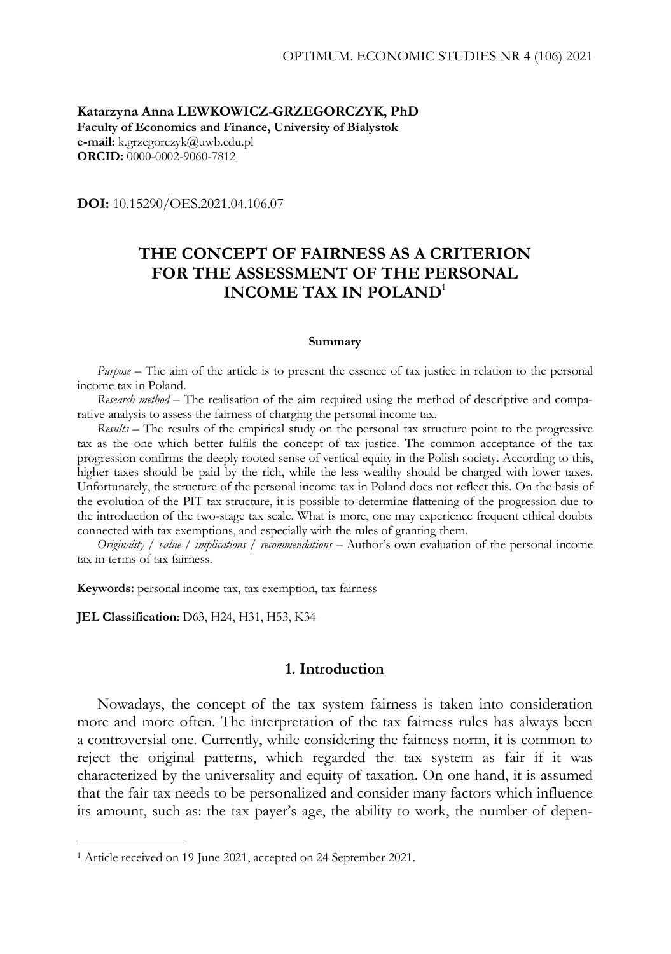**Katarzyna Anna LEWKOWICZ-GRZEGORCZYK, PhD Faculty of Economics and Finance, University of Bialystok e-mail:** k.grzegorczyk@uwb.edu.pl **ORCID:** 0000-0002-9060-7812

**DOI:** 10.15290/OES.2021.04.106.07

# **THE CONCEPT OF FAIRNESS AS A CRITERION FOR THE ASSESSMENT OF THE PERSONAL INCOME TAX IN POLAND**<sup>1</sup>

#### **Summary**

*Purpose –* The aim of the article is to present the essence of tax justice in relation to the personal income tax in Poland.

*Research method –* The realisation of the aim required using the method of descriptive and comparative analysis to assess the fairness of charging the personal income tax.

*Results –* The results of the empirical study on the personal tax structure point to the progressive tax as the one which better fulfils the concept of tax justice*.* The common acceptance of the tax progression confirms the deeply rooted sense of vertical equity in the Polish society. According to this, higher taxes should be paid by the rich, while the less wealthy should be charged with lower taxes. Unfortunately, the structure of the personal income tax in Poland does not reflect this. On the basis of the evolution of the PIT tax structure, it is possible to determine flattening of the progression due to the introduction of the two-stage tax scale. What is more, one may experience frequent ethical doubts connected with tax exemptions, and especially with the rules of granting them.

*Originality / value / implications / recommendations* – Author's own evaluation of the personal income tax in terms of tax fairness.

**Keywords:** personal income tax, tax exemption, tax fairness

**JEL Classification**: D63, H24, H31, H53, K34

-

#### **1. Introduction**

Nowadays, the concept of the tax system fairness is taken into consideration more and more often. The interpretation of the tax fairness rules has always been a controversial one. Currently, while considering the fairness norm, it is common to reject the original patterns, which regarded the tax system as fair if it was characterized by the universality and equity of taxation. On one hand, it is assumed that the fair tax needs to be personalized and consider many factors which influence its amount, such as: the tax payer's age, the ability to work, the number of depen-

<sup>1</sup> Article received on 19 June 2021, accepted on 24 September 2021.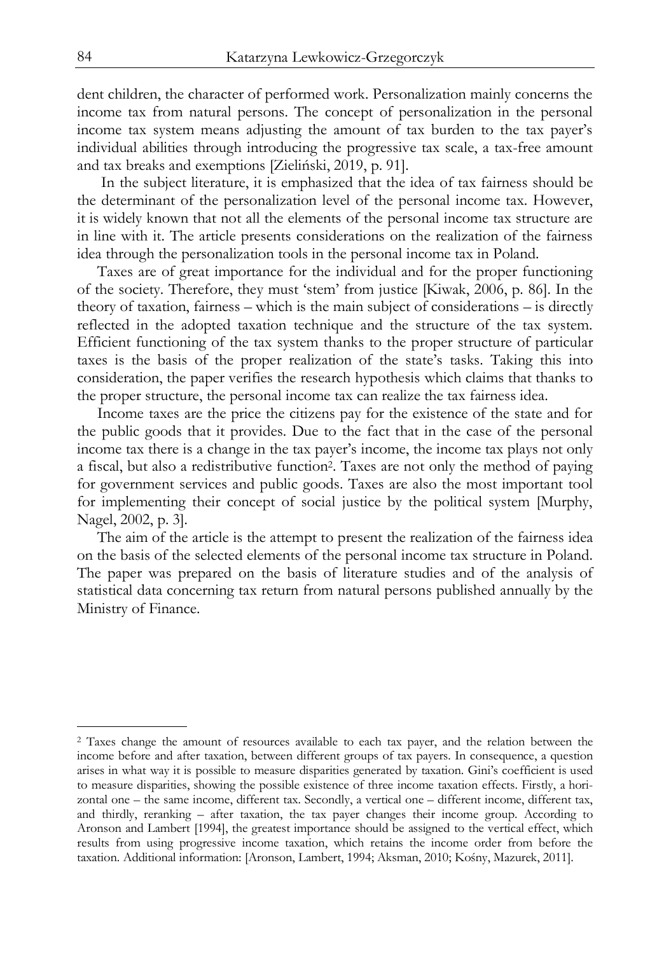dent children, the character of performed work. Personalization mainly concerns the income tax from natural persons. The concept of personalization in the personal income tax system means adjusting the amount of tax burden to the tax payer's individual abilities through introducing the progressive tax scale, a tax-free amount and tax breaks and exemptions [Zieliński, 2019, p. 91].

 In the subject literature, it is emphasized that the idea of tax fairness should be the determinant of the personalization level of the personal income tax. However, it is widely known that not all the elements of the personal income tax structure are in line with it. The article presents considerations on the realization of the fairness idea through the personalization tools in the personal income tax in Poland.

Taxes are of great importance for the individual and for the proper functioning of the society. Therefore, they must 'stem' from justice [Kiwak, 2006, p. 86]. In the theory of taxation, fairness – which is the main subject of considerations – is directly reflected in the adopted taxation technique and the structure of the tax system. Efficient functioning of the tax system thanks to the proper structure of particular taxes is the basis of the proper realization of the state's tasks. Taking this into consideration, the paper verifies the research hypothesis which claims that thanks to the proper structure, the personal income tax can realize the tax fairness idea.

Income taxes are the price the citizens pay for the existence of the state and for the public goods that it provides. Due to the fact that in the case of the personal income tax there is a change in the tax payer's income, the income tax plays not only a fiscal, but also a redistributive function2. Taxes are not only the method of paying for government services and public goods. Taxes are also the most important tool for implementing their concept of social justice by the political system [Murphy, Nagel, 2002, p. 3].

The aim of the article is the attempt to present the realization of the fairness idea on the basis of the selected elements of the personal income tax structure in Poland. The paper was prepared on the basis of literature studies and of the analysis of statistical data concerning tax return from natural persons published annually by the Ministry of Finance.

j

<sup>2</sup> Taxes change the amount of resources available to each tax payer, and the relation between the income before and after taxation, between different groups of tax payers. In consequence, a question arises in what way it is possible to measure disparities generated by taxation. Gini's coefficient is used to measure disparities, showing the possible existence of three income taxation effects. Firstly, a horizontal one – the same income, different tax. Secondly, a vertical one – different income, different tax, and thirdly, reranking – after taxation, the tax payer changes their income group. According to Aronson and Lambert [1994], the greatest importance should be assigned to the vertical effect, which results from using progressive income taxation, which retains the income order from before the taxation. Additional information: [Aronson, Lambert, 1994; Aksman, 2010; Kośny, Mazurek, 2011].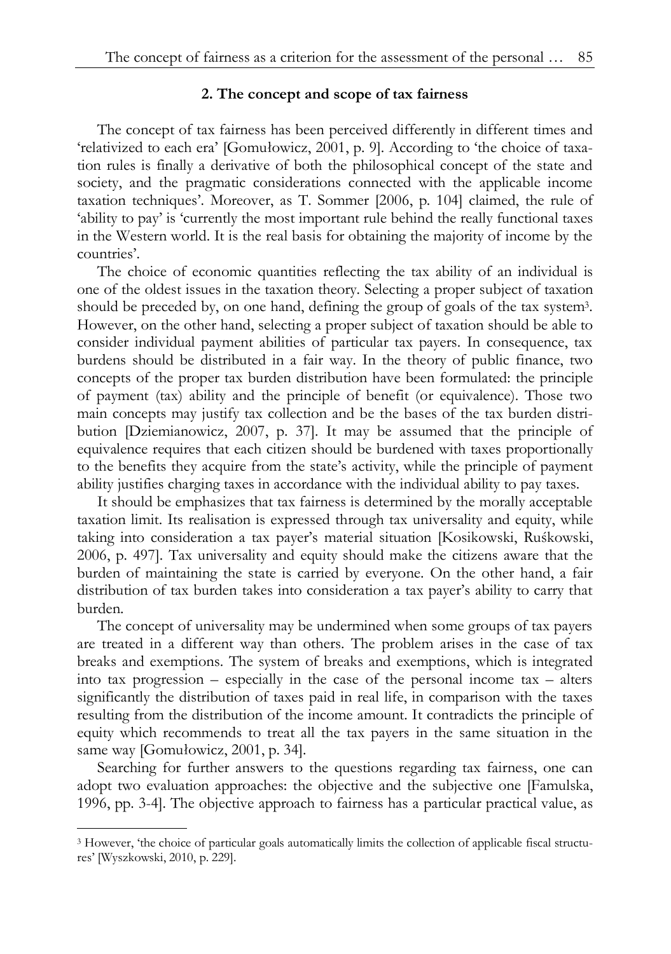### **2. The concept and scope of tax fairness**

The concept of tax fairness has been perceived differently in different times and 'relativized to each era' [Gomułowicz, 2001, p. 9]. According to 'the choice of taxation rules is finally a derivative of both the philosophical concept of the state and society, and the pragmatic considerations connected with the applicable income taxation techniques'. Moreover, as T. Sommer [2006, p. 104] claimed, the rule of 'ability to pay' is 'currently the most important rule behind the really functional taxes in the Western world. It is the real basis for obtaining the majority of income by the countries'.

The choice of economic quantities reflecting the tax ability of an individual is one of the oldest issues in the taxation theory. Selecting a proper subject of taxation should be preceded by, on one hand, defining the group of goals of the tax system3. However, on the other hand, selecting a proper subject of taxation should be able to consider individual payment abilities of particular tax payers. In consequence, tax burdens should be distributed in a fair way. In the theory of public finance, two concepts of the proper tax burden distribution have been formulated: the principle of payment (tax) ability and the principle of benefit (or equivalence). Those two main concepts may justify tax collection and be the bases of the tax burden distribution [Dziemianowicz, 2007, p. 37]. It may be assumed that the principle of equivalence requires that each citizen should be burdened with taxes proportionally to the benefits they acquire from the state's activity, while the principle of payment ability justifies charging taxes in accordance with the individual ability to pay taxes.

It should be emphasizes that tax fairness is determined by the morally acceptable taxation limit. Its realisation is expressed through tax universality and equity, while taking into consideration a tax payer's material situation [Kosikowski, Ruśkowski, 2006, p. 497]. Tax universality and equity should make the citizens aware that the burden of maintaining the state is carried by everyone. On the other hand, a fair distribution of tax burden takes into consideration a tax payer's ability to carry that burden.

The concept of universality may be undermined when some groups of tax payers are treated in a different way than others. The problem arises in the case of tax breaks and exemptions. The system of breaks and exemptions, which is integrated into tax progression – especially in the case of the personal income tax – alters significantly the distribution of taxes paid in real life, in comparison with the taxes resulting from the distribution of the income amount. It contradicts the principle of equity which recommends to treat all the tax payers in the same situation in the same way [Gomułowicz, 2001, p. 34].

Searching for further answers to the questions regarding tax fairness, one can adopt two evaluation approaches: the objective and the subjective one [Famulska, 1996, pp. 3-4]. The objective approach to fairness has a particular practical value, as

-

<sup>3</sup> However, 'the choice of particular goals automatically limits the collection of applicable fiscal structures' [Wyszkowski, 2010, p. 229].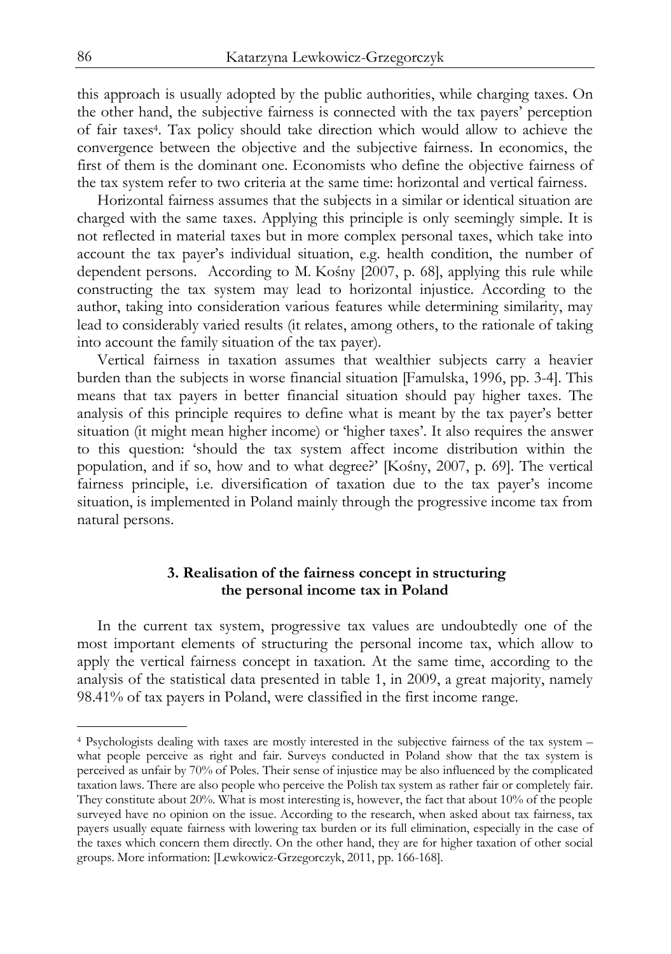this approach is usually adopted by the public authorities, while charging taxes. On the other hand, the subjective fairness is connected with the tax payers' perception of fair taxes4. Tax policy should take direction which would allow to achieve the convergence between the objective and the subjective fairness. In economics, the first of them is the dominant one. Economists who define the objective fairness of the tax system refer to two criteria at the same time: horizontal and vertical fairness.

Horizontal fairness assumes that the subjects in a similar or identical situation are charged with the same taxes. Applying this principle is only seemingly simple. It is not reflected in material taxes but in more complex personal taxes, which take into account the tax payer's individual situation, e.g. health condition, the number of dependent persons. According to M. Kośny [2007, p. 68], applying this rule while constructing the tax system may lead to horizontal injustice. According to the author, taking into consideration various features while determining similarity, may lead to considerably varied results (it relates, among others, to the rationale of taking into account the family situation of the tax payer).

Vertical fairness in taxation assumes that wealthier subjects carry a heavier burden than the subjects in worse financial situation [Famulska, 1996, pp. 3-4]. This means that tax payers in better financial situation should pay higher taxes. The analysis of this principle requires to define what is meant by the tax payer's better situation (it might mean higher income) or 'higher taxes'. It also requires the answer to this question: 'should the tax system affect income distribution within the population, and if so, how and to what degree?' [Kośny, 2007, p. 69]. The vertical fairness principle, i.e. diversification of taxation due to the tax payer's income situation, is implemented in Poland mainly through the progressive income tax from natural persons.

# **3. Realisation of the fairness concept in structuring the personal income tax in Poland**

In the current tax system, progressive tax values are undoubtedly one of the most important elements of structuring the personal income tax, which allow to apply the vertical fairness concept in taxation. At the same time, according to the analysis of the statistical data presented in table 1, in 2009, a great majority, namely 98.41% of tax payers in Poland, were classified in the first income range.

j

<sup>4</sup> Psychologists dealing with taxes are mostly interested in the subjective fairness of the tax system – what people perceive as right and fair. Surveys conducted in Poland show that the tax system is perceived as unfair by 70% of Poles. Their sense of injustice may be also influenced by the complicated taxation laws. There are also people who perceive the Polish tax system as rather fair or completely fair. They constitute about 20%. What is most interesting is, however, the fact that about 10% of the people surveyed have no opinion on the issue. According to the research, when asked about tax fairness, tax payers usually equate fairness with lowering tax burden or its full elimination, especially in the case of the taxes which concern them directly. On the other hand, they are for higher taxation of other social groups. More information: [Lewkowicz-Grzegorczyk, 2011, pp. 166-168].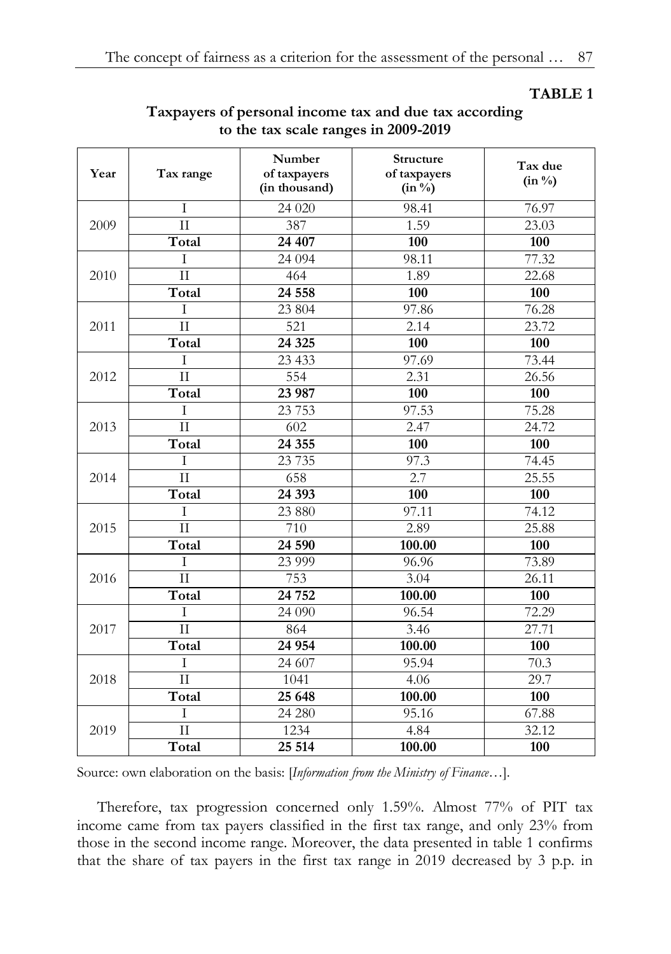# **TABLE 1**

| Year | Tax range           | Number<br>of taxpayers<br>(in thousand) | Structure<br>of taxpayers<br>$(in \frac{0}{0})$ | Tax due<br>$(in \%)$ |  |
|------|---------------------|-----------------------------------------|-------------------------------------------------|----------------------|--|
|      | T                   | 24 020                                  | 98.41                                           | 76.97                |  |
| 2009 | $\rm II$            | 387                                     | 1.59                                            | $\overline{23.03}$   |  |
|      | Total               | 24 407                                  | 100                                             | 100                  |  |
| 2010 | T                   | 24 0 94                                 | 98.11                                           | 77.32                |  |
|      | $\overline{\rm II}$ | 464                                     | 1.89                                            | 22.68                |  |
|      | Total               | 24 558                                  | 100                                             | 100                  |  |
| 2011 | T                   | 23 804                                  | 97.86                                           | $\overline{76.28}$   |  |
|      | $\overline{\rm II}$ | $\overline{521}$                        | 2.14                                            | 23.72                |  |
|      | Total               | 24 3 25                                 | 100                                             | 100                  |  |
|      | T                   | 23 433                                  | 97.69                                           | 73.44                |  |
| 2012 | $\overline{1}$      | $\overline{554}$                        | 2.31                                            | 26.56                |  |
|      | Total               | 23 987                                  | 100                                             | 100                  |  |
|      | T                   | 23 7 53                                 | 97.53                                           | 75.28                |  |
| 2013 | $\overline{\rm II}$ | $\overline{602}$                        | 2.47                                            | 24.72                |  |
|      | Total               | 24 35 5                                 | 100                                             | 100                  |  |
|      | Ī                   | 23 7 35                                 | 97.3                                            | 74.45                |  |
| 2014 | $\overline{\rm II}$ | 658                                     | 2.7                                             | 25.55                |  |
|      | Total               | 24 3 93                                 | 100                                             | 100                  |  |
|      | T                   | 23 880                                  | 97.11                                           | 74.12                |  |
| 2015 | $\overline{\rm II}$ | 710                                     | 2.89                                            | 25.88                |  |
|      | Total               | 24 590                                  | 100.00                                          | 100                  |  |
| 2016 | T                   | 23 999                                  | 96.96                                           | 73.89                |  |
|      | $\overline{\rm II}$ | 753                                     | 3.04                                            | 26.11                |  |
|      | Total               | 24 752                                  | 100.00                                          | 100                  |  |
| 2017 | T                   | 24 090                                  | 96.54                                           | $\overline{7}2.29$   |  |
|      | $\mathbf{H}$        | 864                                     | 3.46                                            | 27.71                |  |
|      | Total               | 24 954                                  | 100.00                                          | 100                  |  |
| 2018 | I                   | 24 607                                  | 95.94                                           | 70.3                 |  |
|      | $\rm II$            | 1041                                    | 4.06                                            | 29.7                 |  |
|      | Total               | 25 648                                  | 100.00                                          | 100                  |  |
|      | T                   | 24 280                                  | 95.16                                           | 67.88                |  |
| 2019 | $\mathbf{H}$        | 1234                                    | 4.84                                            | 32.12                |  |
|      | Total               | 25 5 14                                 | 100.00                                          | 100                  |  |

# **Taxpayers of personal income tax and due tax according to the tax scale ranges in 2009-2019**

Source: own elaboration on the basis: [*Information from the Ministry of Finance…*].

Therefore, tax progression concerned only 1.59%. Almost 77% of PIT tax income came from tax payers classified in the first tax range, and only 23% from those in the second income range. Moreover, the data presented in table 1 confirms that the share of tax payers in the first tax range in 2019 decreased by 3 p.p. in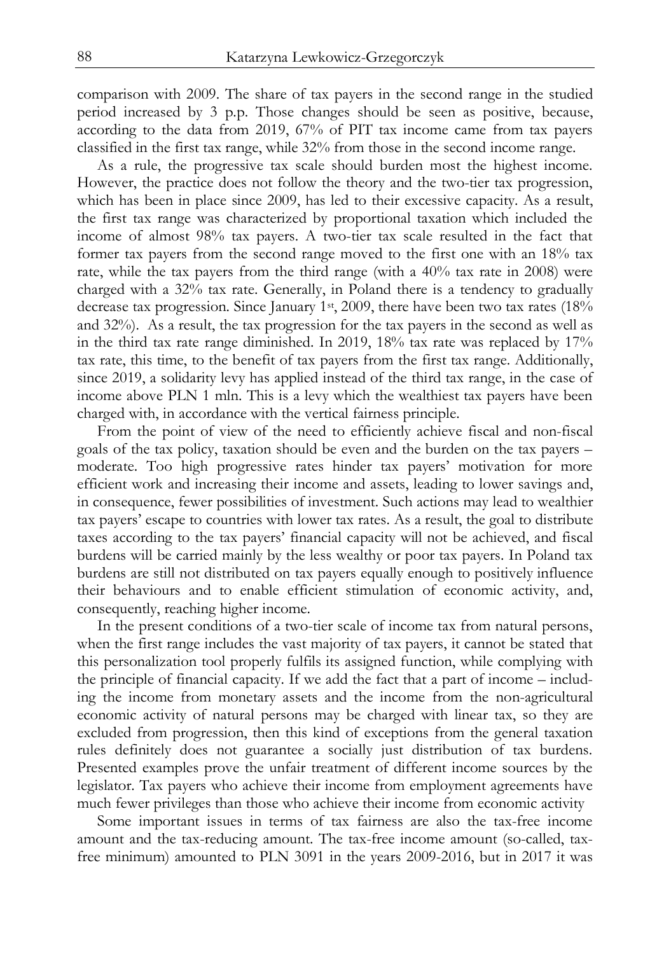comparison with 2009. The share of tax payers in the second range in the studied period increased by 3 p.p. Those changes should be seen as positive, because, according to the data from 2019, 67% of PIT tax income came from tax payers classified in the first tax range, while 32% from those in the second income range.

As a rule, the progressive tax scale should burden most the highest income. However, the practice does not follow the theory and the two-tier tax progression, which has been in place since 2009, has led to their excessive capacity. As a result, the first tax range was characterized by proportional taxation which included the income of almost 98% tax payers. A two-tier tax scale resulted in the fact that former tax payers from the second range moved to the first one with an 18% tax rate, while the tax payers from the third range (with a 40% tax rate in 2008) were charged with a 32% tax rate. Generally, in Poland there is a tendency to gradually decrease tax progression. Since January 1st, 2009, there have been two tax rates (18% and 32%). As a result, the tax progression for the tax payers in the second as well as in the third tax rate range diminished. In 2019, 18% tax rate was replaced by 17% tax rate, this time, to the benefit of tax payers from the first tax range. Additionally, since 2019, a solidarity levy has applied instead of the third tax range, in the case of income above PLN 1 mln. This is a levy which the wealthiest tax payers have been charged with, in accordance with the vertical fairness principle.

From the point of view of the need to efficiently achieve fiscal and non-fiscal goals of the tax policy, taxation should be even and the burden on the tax payers – moderate. Too high progressive rates hinder tax payers' motivation for more efficient work and increasing their income and assets, leading to lower savings and, in consequence, fewer possibilities of investment. Such actions may lead to wealthier tax payers' escape to countries with lower tax rates. As a result, the goal to distribute taxes according to the tax payers' financial capacity will not be achieved, and fiscal burdens will be carried mainly by the less wealthy or poor tax payers. In Poland tax burdens are still not distributed on tax payers equally enough to positively influence their behaviours and to enable efficient stimulation of economic activity, and, consequently, reaching higher income.

In the present conditions of a two-tier scale of income tax from natural persons, when the first range includes the vast majority of tax payers, it cannot be stated that this personalization tool properly fulfils its assigned function, while complying with the principle of financial capacity. If we add the fact that a part of income – including the income from monetary assets and the income from the non-agricultural economic activity of natural persons may be charged with linear tax, so they are excluded from progression, then this kind of exceptions from the general taxation rules definitely does not guarantee a socially just distribution of tax burdens. Presented examples prove the unfair treatment of different income sources by the legislator. Tax payers who achieve their income from employment agreements have much fewer privileges than those who achieve their income from economic activity

Some important issues in terms of tax fairness are also the tax-free income amount and the tax-reducing amount. The tax-free income amount (so-called, taxfree minimum) amounted to PLN 3091 in the years 2009-2016, but in 2017 it was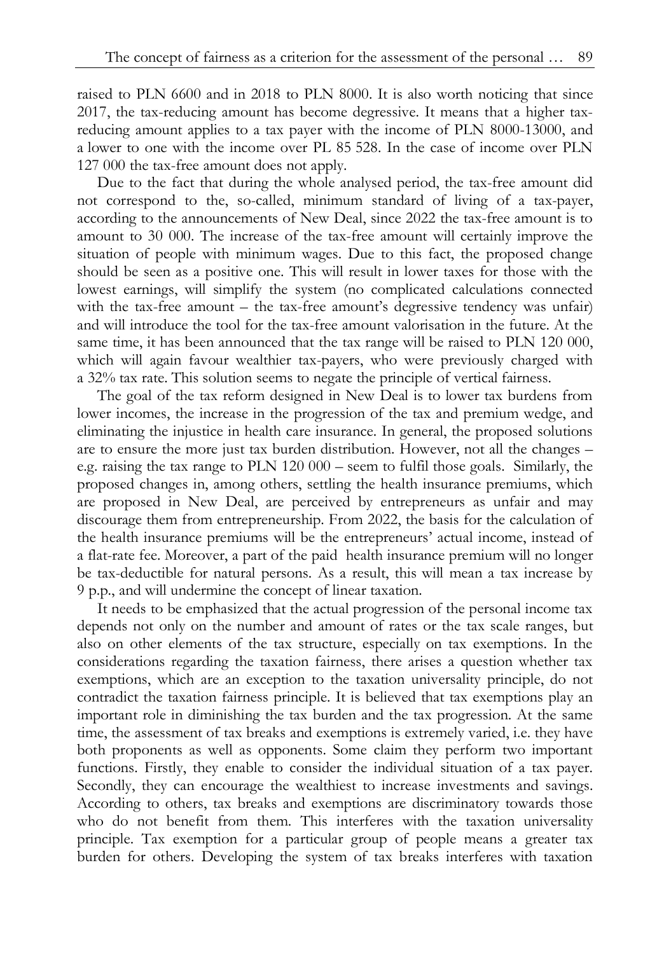raised to PLN 6600 and in 2018 to PLN 8000. It is also worth noticing that since 2017, the tax-reducing amount has become degressive. It means that a higher taxreducing amount applies to a tax payer with the income of PLN 8000-13000, and a lower to one with the income over PL 85 528. In the case of income over PLN 127 000 the tax-free amount does not apply.

Due to the fact that during the whole analysed period, the tax-free amount did not correspond to the, so-called, minimum standard of living of a tax-payer, according to the announcements of New Deal, since 2022 the tax-free amount is to amount to 30 000. The increase of the tax-free amount will certainly improve the situation of people with minimum wages. Due to this fact, the proposed change should be seen as a positive one. This will result in lower taxes for those with the lowest earnings, will simplify the system (no complicated calculations connected with the tax-free amount – the tax-free amount's degressive tendency was unfair) and will introduce the tool for the tax-free amount valorisation in the future. At the same time, it has been announced that the tax range will be raised to PLN 120 000, which will again favour wealthier tax-payers, who were previously charged with a 32% tax rate. This solution seems to negate the principle of vertical fairness.

The goal of the tax reform designed in New Deal is to lower tax burdens from lower incomes, the increase in the progression of the tax and premium wedge, and eliminating the injustice in health care insurance. In general, the proposed solutions are to ensure the more just tax burden distribution. However, not all the changes – e.g. raising the tax range to PLN 120 000 – seem to fulfil those goals. Similarly, the proposed changes in, among others, settling the health insurance premiums, which are proposed in New Deal, are perceived by entrepreneurs as unfair and may discourage them from entrepreneurship. From 2022, the basis for the calculation of the health insurance premiums will be the entrepreneurs' actual income, instead of a flat-rate fee. Moreover, a part of the paid health insurance premium will no longer be tax-deductible for natural persons. As a result, this will mean a tax increase by 9 p.p., and will undermine the concept of linear taxation.

It needs to be emphasized that the actual progression of the personal income tax depends not only on the number and amount of rates or the tax scale ranges, but also on other elements of the tax structure, especially on tax exemptions. In the considerations regarding the taxation fairness, there arises a question whether tax exemptions, which are an exception to the taxation universality principle, do not contradict the taxation fairness principle. It is believed that tax exemptions play an important role in diminishing the tax burden and the tax progression. At the same time, the assessment of tax breaks and exemptions is extremely varied, i.e. they have both proponents as well as opponents. Some claim they perform two important functions. Firstly, they enable to consider the individual situation of a tax payer. Secondly, they can encourage the wealthiest to increase investments and savings. According to others, tax breaks and exemptions are discriminatory towards those who do not benefit from them. This interferes with the taxation universality principle. Tax exemption for a particular group of people means a greater tax burden for others. Developing the system of tax breaks interferes with taxation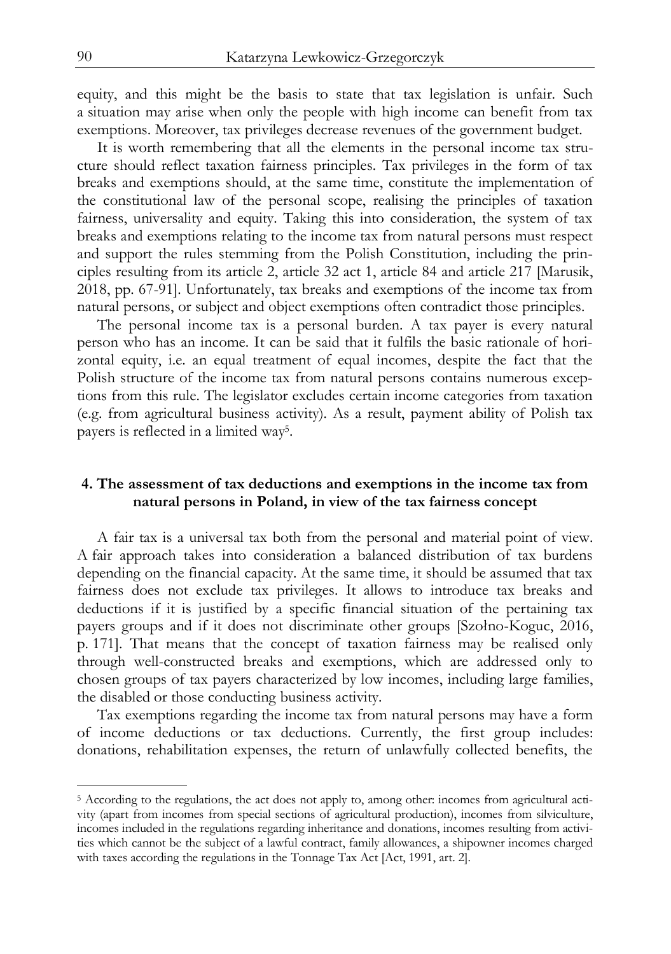equity, and this might be the basis to state that tax legislation is unfair. Such a situation may arise when only the people with high income can benefit from tax exemptions. Moreover, tax privileges decrease revenues of the government budget.

It is worth remembering that all the elements in the personal income tax structure should reflect taxation fairness principles. Tax privileges in the form of tax breaks and exemptions should, at the same time, constitute the implementation of the constitutional law of the personal scope, realising the principles of taxation fairness, universality and equity. Taking this into consideration, the system of tax breaks and exemptions relating to the income tax from natural persons must respect and support the rules stemming from the Polish Constitution, including the principles resulting from its article 2, article 32 act 1, article 84 and article 217 [Marusik, 2018, pp. 67-91]. Unfortunately, tax breaks and exemptions of the income tax from natural persons, or subject and object exemptions often contradict those principles.

The personal income tax is a personal burden. A tax payer is every natural person who has an income. It can be said that it fulfils the basic rationale of horizontal equity, i.e. an equal treatment of equal incomes, despite the fact that the Polish structure of the income tax from natural persons contains numerous exceptions from this rule. The legislator excludes certain income categories from taxation (e.g. from agricultural business activity). As a result, payment ability of Polish tax payers is reflected in a limited way5.

# **4. The assessment of tax deductions and exemptions in the income tax from natural persons in Poland, in view of the tax fairness concept**

A fair tax is a universal tax both from the personal and material point of view. A fair approach takes into consideration a balanced distribution of tax burdens depending on the financial capacity. At the same time, it should be assumed that tax fairness does not exclude tax privileges. It allows to introduce tax breaks and deductions if it is justified by a specific financial situation of the pertaining tax payers groups and if it does not discriminate other groups [Szołno-Koguc, 2016, p. 171]. That means that the concept of taxation fairness may be realised only through well-constructed breaks and exemptions, which are addressed only to chosen groups of tax payers characterized by low incomes, including large families, the disabled or those conducting business activity.

Tax exemptions regarding the income tax from natural persons may have a form of income deductions or tax deductions. Currently, the first group includes: donations, rehabilitation expenses, the return of unlawfully collected benefits, the

1

<sup>5</sup> According to the regulations, the act does not apply to, among other: incomes from agricultural activity (apart from incomes from special sections of agricultural production), incomes from silviculture, incomes included in the regulations regarding inheritance and donations, incomes resulting from activities which cannot be the subject of a lawful contract, family allowances, a shipowner incomes charged with taxes according the regulations in the Tonnage Tax Act [Act, 1991, art. 2].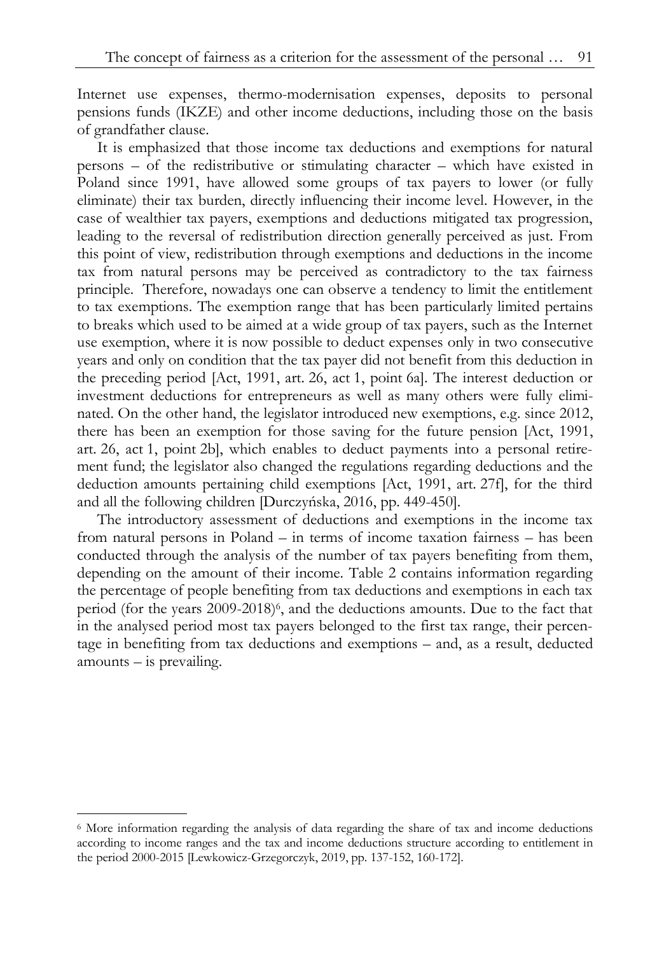Internet use expenses, thermo-modernisation expenses, deposits to personal pensions funds (IKZE) and other income deductions, including those on the basis of grandfather clause.

It is emphasized that those income tax deductions and exemptions for natural persons – of the redistributive or stimulating character – which have existed in Poland since 1991, have allowed some groups of tax payers to lower (or fully eliminate) their tax burden, directly influencing their income level. However, in the case of wealthier tax payers, exemptions and deductions mitigated tax progression, leading to the reversal of redistribution direction generally perceived as just. From this point of view, redistribution through exemptions and deductions in the income tax from natural persons may be perceived as contradictory to the tax fairness principle. Therefore, nowadays one can observe a tendency to limit the entitlement to tax exemptions. The exemption range that has been particularly limited pertains to breaks which used to be aimed at a wide group of tax payers, such as the Internet use exemption, where it is now possible to deduct expenses only in two consecutive years and only on condition that the tax payer did not benefit from this deduction in the preceding period [Act, 1991, art. 26, act 1, point 6a]. The interest deduction or investment deductions for entrepreneurs as well as many others were fully eliminated. On the other hand, the legislator introduced new exemptions, e.g. since 2012, there has been an exemption for those saving for the future pension [Act, 1991, art. 26, act 1, point 2b], which enables to deduct payments into a personal retirement fund; the legislator also changed the regulations regarding deductions and the deduction amounts pertaining child exemptions [Act, 1991, art. 27f], for the third and all the following children [Durczyńska, 2016, pp. 449-450].

The introductory assessment of deductions and exemptions in the income tax from natural persons in Poland – in terms of income taxation fairness – has been conducted through the analysis of the number of tax payers benefiting from them, depending on the amount of their income. Table 2 contains information regarding the percentage of people benefiting from tax deductions and exemptions in each tax period (for the years  $2009-2018$ )<sup>6</sup>, and the deductions amounts. Due to the fact that in the analysed period most tax payers belonged to the first tax range, their percentage in benefiting from tax deductions and exemptions – and, as a result, deducted amounts – is prevailing.

j

<sup>6</sup> More information regarding the analysis of data regarding the share of tax and income deductions according to income ranges and the tax and income deductions structure according to entitlement in the period 2000-2015 [Lewkowicz-Grzegorczyk, 2019, pp. 137-152, 160-172].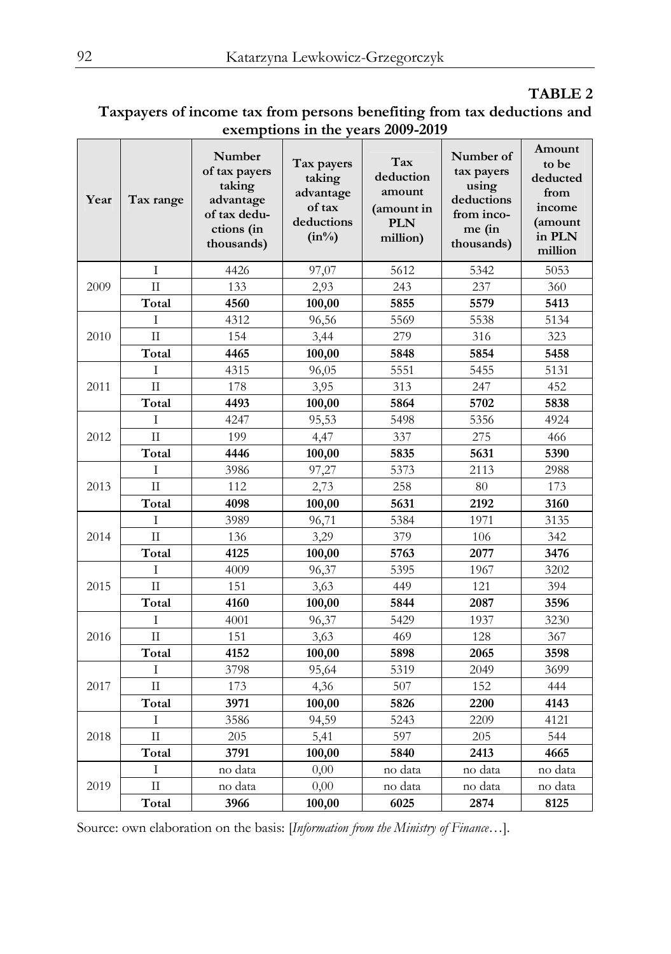# **TABLE 2**

| Taxpayers of income tax from persons benefiting from tax deductions and |  |  |  |  |  |  |  |  |
|-------------------------------------------------------------------------|--|--|--|--|--|--|--|--|
| exemptions in the years 2009-2019                                       |  |  |  |  |  |  |  |  |

| Year | Tax range           | Number<br>of tax payers<br>taking<br>advantage<br>of tax dedu-<br>ctions (in<br>thousands) | Tax payers<br>taking<br>advantage<br>of tax<br>deductions<br>$(in\%)$ | Tax<br>deduction<br>amount<br>(amount in<br><b>PLN</b><br>million) | Number of<br>tax payers<br>using<br>deductions<br>from inco-<br>me (in<br>thousands) | Amount<br>to be<br>deducted<br>from<br>income<br>(amount<br>in PLN<br>million |
|------|---------------------|--------------------------------------------------------------------------------------------|-----------------------------------------------------------------------|--------------------------------------------------------------------|--------------------------------------------------------------------------------------|-------------------------------------------------------------------------------|
| 2009 | T                   | 4426                                                                                       | 97,07                                                                 | 5612                                                               | 5342                                                                                 | 5053                                                                          |
|      | $\mathbf{H}$        | 133                                                                                        | 2,93                                                                  | 243                                                                | 237                                                                                  | 360                                                                           |
|      | Total               | 4560                                                                                       | 100,00                                                                | 5855                                                               | 5579                                                                                 | 5413                                                                          |
| 2010 | T                   | 4312                                                                                       | 96,56                                                                 | 5569                                                               | 5538                                                                                 | 5134                                                                          |
|      | $\overline{\rm II}$ | 154                                                                                        | 3,44                                                                  | 279                                                                | 316                                                                                  | 323                                                                           |
|      | Total               | 4465                                                                                       | 100,00                                                                | 5848                                                               | 5854                                                                                 | 5458                                                                          |
| 2011 | T                   | 4315                                                                                       | 96,05                                                                 | 5551                                                               | 5455                                                                                 | 5131                                                                          |
|      | $\mathbf{H}$        | 178                                                                                        | 3,95                                                                  | 313                                                                | 247                                                                                  | 452                                                                           |
|      | Total               | 4493                                                                                       | 100,00                                                                | 5864                                                               | 5702                                                                                 | 5838                                                                          |
| 2012 | I                   | 4247                                                                                       | 95,53                                                                 | 5498                                                               | 5356                                                                                 | 4924                                                                          |
|      | $\mathbf{H}$        | 199                                                                                        | 4,47                                                                  | 337                                                                | 275                                                                                  | 466                                                                           |
|      | Total               | 4446                                                                                       | 100,00                                                                | 5835                                                               | 5631                                                                                 | 5390                                                                          |
|      | T                   | 3986                                                                                       | 97,27                                                                 | 5373                                                               | 2113                                                                                 | 2988                                                                          |
| 2013 | $\mathbf{H}$        | 112                                                                                        | 2,73                                                                  | 258                                                                | 80                                                                                   | 173                                                                           |
|      | Total               | 4098                                                                                       | 100,00                                                                | 5631                                                               | 2192                                                                                 | 3160                                                                          |
| 2014 | T                   | 3989                                                                                       | 96,71                                                                 | 5384                                                               | 1971                                                                                 | 3135                                                                          |
|      | $\mathbf{H}$        | 136                                                                                        | 3,29                                                                  | 379                                                                | 106                                                                                  | 342                                                                           |
|      | Total               | 4125                                                                                       | 100,00                                                                | 5763                                                               | 2077                                                                                 | 3476                                                                          |
| 2015 | T                   | 4009                                                                                       | 96,37                                                                 | 5395                                                               | 1967                                                                                 | 3202                                                                          |
|      | $\Pi$               | 151                                                                                        | 3.63                                                                  | 449                                                                | 121                                                                                  | 394                                                                           |
|      | Total               | 4160                                                                                       | 100,00                                                                | 5844                                                               | 2087                                                                                 | 3596                                                                          |
| 2016 | T                   | 4001                                                                                       | 96,37                                                                 | 5429                                                               | 1937                                                                                 | 3230                                                                          |
|      | $\mathbf{H}$        | 151                                                                                        | 3,63                                                                  | 469                                                                | 128                                                                                  | 367                                                                           |
|      | Total               | 4152                                                                                       | 100,00                                                                | 5898                                                               | 2065                                                                                 | 3598                                                                          |
| 2017 | T                   | 3798                                                                                       | 95,64                                                                 | 5319                                                               | 2049                                                                                 | 3699                                                                          |
|      | $\mathbf{H}$        | 173                                                                                        | 4,36                                                                  | 507                                                                | 152                                                                                  | 444                                                                           |
|      | Total               | 3971                                                                                       | 100,00                                                                | 5826                                                               | 2200                                                                                 | 4143                                                                          |
| 2018 | Ι                   | 3586                                                                                       | 94,59                                                                 | 5243                                                               | 2209                                                                                 | 4121                                                                          |
|      | $\mathbf{H}$        | 205                                                                                        | 5,41                                                                  | 597                                                                | 205                                                                                  | 544                                                                           |
|      | Total               | 3791                                                                                       | 100,00                                                                | 5840                                                               | 2413                                                                                 | 4665                                                                          |
| 2019 | T                   | no data                                                                                    | 0,00                                                                  | no data                                                            | no data                                                                              | no data                                                                       |
|      | $\mathbf{H}$        | no data                                                                                    | 0,00                                                                  | no data                                                            | no data                                                                              | no data                                                                       |
|      | Total               | 3966                                                                                       | 100,00                                                                | 6025                                                               | 2874                                                                                 | 8125                                                                          |

Source: own elaboration on the basis: [*Information from the Ministry of Finance…*].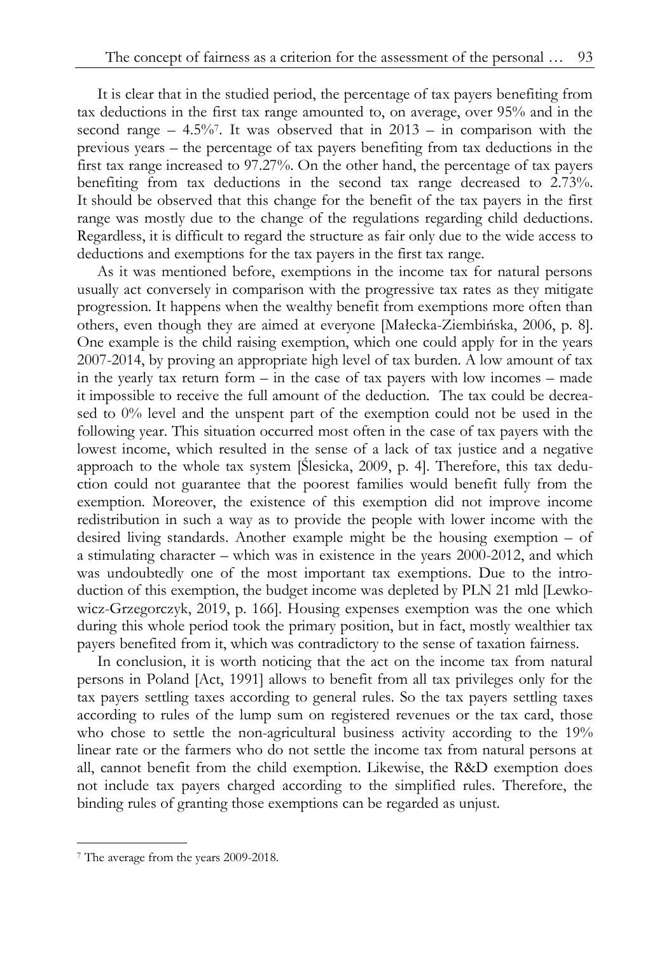It is clear that in the studied period, the percentage of tax payers benefiting from tax deductions in the first tax range amounted to, on average, over 95% and in the second range  $-4.5\%$ . It was observed that in 2013 – in comparison with the previous years – the percentage of tax payers benefiting from tax deductions in the first tax range increased to 97.27%. On the other hand, the percentage of tax payers benefiting from tax deductions in the second tax range decreased to 2.73%. It should be observed that this change for the benefit of the tax payers in the first range was mostly due to the change of the regulations regarding child deductions. Regardless, it is difficult to regard the structure as fair only due to the wide access to deductions and exemptions for the tax payers in the first tax range.

As it was mentioned before, exemptions in the income tax for natural persons usually act conversely in comparison with the progressive tax rates as they mitigate progression. It happens when the wealthy benefit from exemptions more often than others, even though they are aimed at everyone [Małecka-Ziembińska, 2006, p. 8]. One example is the child raising exemption, which one could apply for in the years 2007-2014, by proving an appropriate high level of tax burden. A low amount of tax in the yearly tax return form – in the case of tax payers with low incomes – made it impossible to receive the full amount of the deduction. The tax could be decreased to 0% level and the unspent part of the exemption could not be used in the following year. This situation occurred most often in the case of tax payers with the lowest income, which resulted in the sense of a lack of tax justice and a negative approach to the whole tax system [Ślesicka, 2009, p. 4]. Therefore, this tax deduction could not guarantee that the poorest families would benefit fully from the exemption. Moreover, the existence of this exemption did not improve income redistribution in such a way as to provide the people with lower income with the desired living standards. Another example might be the housing exemption – of a stimulating character – which was in existence in the years 2000-2012, and which was undoubtedly one of the most important tax exemptions. Due to the introduction of this exemption, the budget income was depleted by PLN 21 mld [Lewkowicz-Grzegorczyk, 2019, p. 166]. Housing expenses exemption was the one which during this whole period took the primary position, but in fact, mostly wealthier tax payers benefited from it, which was contradictory to the sense of taxation fairness.

In conclusion, it is worth noticing that the act on the income tax from natural persons in Poland [Act, 1991] allows to benefit from all tax privileges only for the tax payers settling taxes according to general rules. So the tax payers settling taxes according to rules of the lump sum on registered revenues or the tax card, those who chose to settle the non-agricultural business activity according to the 19% linear rate or the farmers who do not settle the income tax from natural persons at all, cannot benefit from the child exemption. Likewise, the R&D exemption does not include tax payers charged according to the simplified rules. Therefore, the binding rules of granting those exemptions can be regarded as unjust.

-

<sup>7</sup> The average from the years 2009-2018.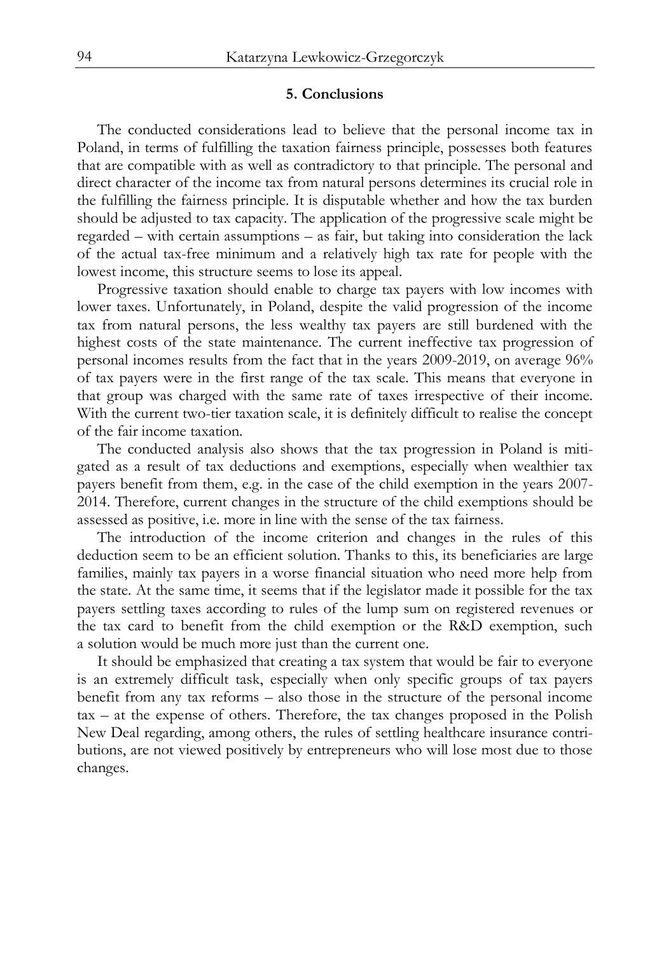### **5. Conclusions**

The conducted considerations lead to believe that the personal income tax in Poland, in terms of fulfilling the taxation fairness principle, possesses both features that are compatible with as well as contradictory to that principle. The personal and direct character of the income tax from natural persons determines its crucial role in the fulfilling the fairness principle. It is disputable whether and how the tax burden should be adjusted to tax capacity. The application of the progressive scale might be regarded – with certain assumptions – as fair, but taking into consideration the lack of the actual tax-free minimum and a relatively high tax rate for people with the lowest income, this structure seems to lose its appeal.

Progressive taxation should enable to charge tax payers with low incomes with lower taxes. Unfortunately, in Poland, despite the valid progression of the income tax from natural persons, the less wealthy tax payers are still burdened with the highest costs of the state maintenance. The current ineffective tax progression of personal incomes results from the fact that in the years 2009-2019, on average 96% of tax payers were in the first range of the tax scale. This means that everyone in that group was charged with the same rate of taxes irrespective of their income. With the current two-tier taxation scale, it is definitely difficult to realise the concept of the fair income taxation.

The conducted analysis also shows that the tax progression in Poland is mitigated as a result of tax deductions and exemptions, especially when wealthier tax payers benefit from them, e.g. in the case of the child exemption in the years 2007- 2014. Therefore, current changes in the structure of the child exemptions should be assessed as positive, i.e. more in line with the sense of the tax fairness.

The introduction of the income criterion and changes in the rules of this deduction seem to be an efficient solution. Thanks to this, its beneficiaries are large families, mainly tax payers in a worse financial situation who need more help from the state. At the same time, it seems that if the legislator made it possible for the tax payers settling taxes according to rules of the lump sum on registered revenues or the tax card to benefit from the child exemption or the R&D exemption, such a solution would be much more just than the current one.

It should be emphasized that creating a tax system that would be fair to everyone is an extremely difficult task, especially when only specific groups of tax payers benefit from any tax reforms – also those in the structure of the personal income tax – at the expense of others. Therefore, the tax changes proposed in the Polish New Deal regarding, among others, the rules of settling healthcare insurance contributions, are not viewed positively by entrepreneurs who will lose most due to those changes.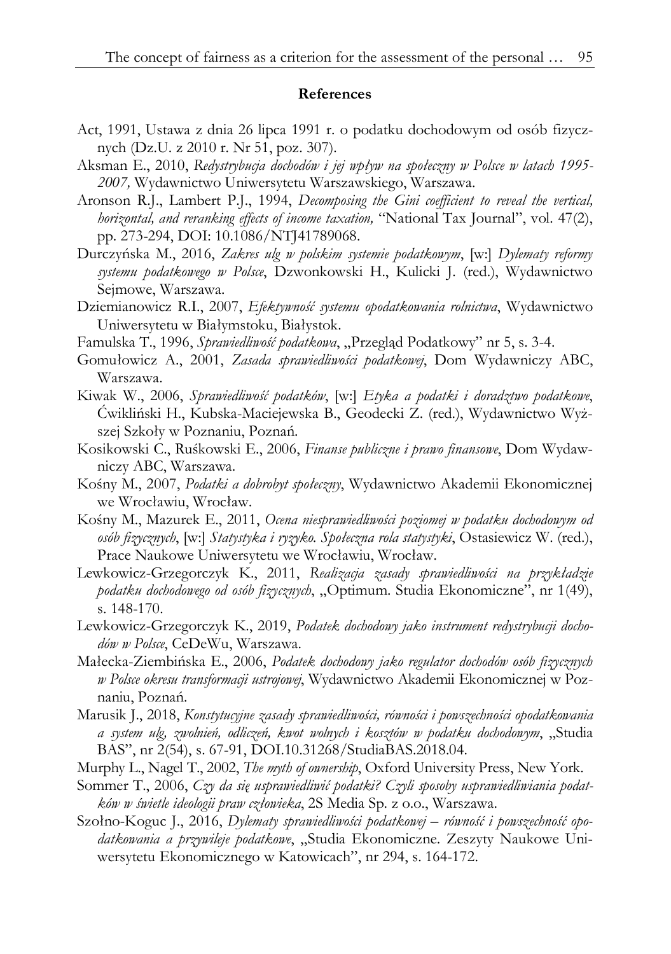### **References**

- Act, 1991, Ustawa z dnia 26 lipca 1991 r. o podatku dochodowym od osób fizycznych (Dz.U. z 2010 r. Nr 51, poz. 307).
- Aksman E., 2010, *Redystrybucja dochodów i jej wpływ na społeczny w Polsce w latach 1995- 2007,* Wydawnictwo Uniwersytetu Warszawskiego, Warszawa.
- Aronson R.J., Lambert P.J., 1994, *Decomposing the Gini coefficient to reveal the vertical, horizontal, and reranking effects of income taxation,* "National Tax Journal", vol. 47(2), pp. 273-294, DOI: 10.1086/NTJ41789068.
- Durczyńska M., 2016, *Zakres ulg w polskim systemie podatkowym*, [w:] *Dylematy reformy systemu podatkowego w Polsce*, Dzwonkowski H., Kulicki J. (red.), Wydawnictwo Sejmowe, Warszawa.
- Dziemianowicz R.I., 2007, *Efektywność systemu opodatkowania rolnictwa*, Wydawnictwo Uniwersytetu w Białymstoku, Białystok.
- Famulska T., 1996, *Sprawiedliwość podatkowa*, "Przegląd Podatkowy" nr 5, s. 3-4.
- Gomułowicz A., 2001, *Zasada sprawiedliwości podatkowej*, Dom Wydawniczy ABC, Warszawa.
- Kiwak W., 2006, *Sprawiedliwość podatków*, [w:] *Etyka a podatki i doradztwo podatkowe*, Ćwikliński H., Kubska-Maciejewska B., Geodecki Z. (red.), Wydawnictwo Wyższej Szkoły w Poznaniu, Poznań.
- Kosikowski C., Ruśkowski E., 2006, *Finanse publiczne i prawo finansowe*, Dom Wydawniczy ABC, Warszawa.
- Kośny M., 2007, *Podatki a dobrobyt społeczny*, Wydawnictwo Akademii Ekonomicznej we Wrocławiu, Wrocław.
- Kośny M., Mazurek E., 2011, *Ocena niesprawiedliwości poziomej w podatku dochodowym od osób fizycznych*, [w:] *Statystyka i ryzyko. Społeczna rola statystyki*, Ostasiewicz W. (red.), Prace Naukowe Uniwersytetu we Wrocławiu, Wrocław.
- Lewkowicz-Grzegorczyk K., 2011, *Realizacja zasady sprawiedliwości na przykładzie*  podatku dochodowego od osób fizycznych, "Optimum. Studia Ekonomiczne", nr 1(49), s. 148-170.
- Lewkowicz-Grzegorczyk K., 2019, *Podatek dochodowy jako instrument redystrybucji dochodów w Polsce*, CeDeWu, Warszawa.
- Małecka-Ziembińska E., 2006, *Podatek dochodowy jako regulator dochodów osób fizycznych w Polsce okresu transformacji ustrojowej*, Wydawnictwo Akademii Ekonomicznej w Poznaniu, Poznań.
- Marusik J., 2018, *Konstytucyjne zasady sprawiedliwości, równości i powszechności opodatkowania a system ulg, zwolnień, odliczeń, kwot wolnych i kosztów w podatku dochodowym*, "Studia BAS", nr 2(54), s. 67-91, DOI.10.31268/StudiaBAS.2018.04.
- Murphy L., Nagel T., 2002, *The myth of ownership*, Oxford University Press, New York.
- Sommer T., 2006, *Czy da się usprawiedliwić podatki? Czyli sposoby usprawiedliwiania podatków w świetle ideologii praw człowieka*, 2S Media Sp. z o.o., Warszawa.
- Szołno-Koguc J., 2016, *Dylematy sprawiedliwości podatkowej równość i powszechność opodatkowania a przywileje podatkowe*, "Studia Ekonomiczne. Zeszyty Naukowe Uniwersytetu Ekonomicznego w Katowicach", nr 294, s. 164-172.